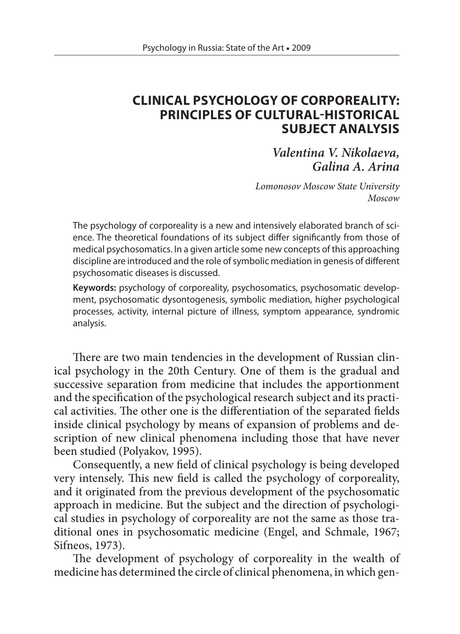## **Clinical psychology of corporeality: principles of cultural-historical subject analysis**

*Valentina V. Nikolaeva, Galina A. Arina*

*Lomonosov Moscow State University Moscow*

The psychology of corporeality is a new and intensively elaborated branch of science. The theoretical foundations of its subject differ significantly from those of medical psychosomatics. In a given article some new concepts of this approaching discipline are introduced and the role of symbolic mediation in genesis of different psychosomatic diseases is discussed.

**Keywords:** psychology of corporeality, psychosomatics, psychosomatic development, psychosomatic dysontogenesis, symbolic mediation, higher psychological processes, activity, internal picture of illness, symptom appearance, syndromic analysis.

There are two main tendencies in the development of Russian clinical psychology in the 20th Century. One of them is the gradual and successive separation from medicine that includes the apportionment and the specification of the psychological research subject and its practical activities. The other one is the differentiation of the separated fields inside clinical psychology by means of expansion of problems and description of new clinical phenomena including those that have never been studied (Polyakov, 1995).

Consequently, a new field of clinical psychology is being developed very intensely. This new field is called the psychology of corporeality, and it originated from the previous development of the psychosomatic approach in medicine. But the subject and the direction of psychological studies in psychology of corporeality are not the same as those traditional ones in psychosomatic medicine (Engel, and Schmale, 1967; Sifneos, 1973).

The development of psychology of corporeality in the wealth of medicine has determined the circle of clinical phenomena, in which gen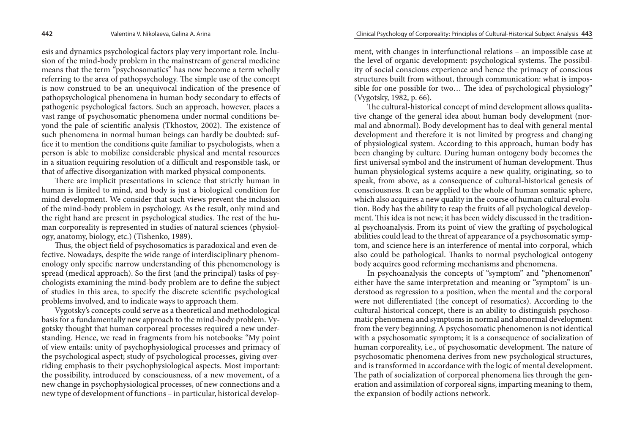esis and dynamics psychological factors play very important role. Inclusion of the mind-body problem in the mainstream of general medicine means that the term "psychosomatics" has now become a term wholly referring to the area of pathopsychology. The simple use of the concept is now construed to be an unequivocal indication of the presence of pathopsychological phenomena in human body secondary to effects of pathogenic psychological factors. Such an approach, however, places a vast range of psychosomatic phenomena under normal conditions beyond the pale of scientific analysis (Tkhostov, 2002). The existence of such phenomena in normal human beings can hardly be doubted: suffice it to mention the conditions quite familiar to psychologists, when a person is able to mobilize considerable physical and mental resources in a situation requiring resolution of a difficult and responsible task, or that of affective disorganization with marked physical components.

There are implicit presentations in science that strictly human in human is limited to mind, and body is just a biological condition for mind development. We consider that such views prevent the inclusion of the mind-body problem in psychology. As the result, only mind and the right hand are present in psychological studies. The rest of the human corporeality is represented in studies of natural sciences (physiology, anatomy, biology, etc.) (Tishenko, 1989).

Thus, the object field of psychosomatics is paradoxical and even defective. Nowadays, despite the wide range of interdisciplinary phenomenology only specific narrow understanding of this phenomenology is spread (medical approach). So the first (and the principal) tasks of psychologists examining the mind-body problem are to define the subject of studies in this area, to specify the discrete scientific psychological problems involved, and to indicate ways to approach them.

Vygotsky's concepts could serve as a theoretical and methodological basis for a fundamentally new approach to the mind-body problem. Vygotsky thought that human corporeal processes required a new understanding. Hence, we read in fragments from his notebooks: "My point of view entails: unity of psychophysiological processes and primacy of the psychological aspect; study of psychological processes, giving overriding emphasis to their psychophysiological aspects. Most important: the possibility, introduced by consciousness, of a new movement, of a new change in psychophysiological processes, of new connections and a new type of development of functions – in particular, historical development, with changes in interfunctional relations – an impossible case at the level of organic development: psychological systems. The possibility of social conscious experience and hence the primacy of conscious structures built from without, through communication: what is impossible for one possible for two… The idea of psychological physiology" (Vygotsky, 1982, p. 66).

The cultural-historical concept of mind development allows qualitative change of the general idea about human body development (normal and abnormal). Body development has to deal with general mental development and therefore it is not limited by progress and changing of physiological system. According to this approach, human body has been changing by culture. During human ontogeny body becomes the first universal symbol and the instrument of human development. Thus human physiological systems acquire a new quality, originating, so to speak, from above, as a consequence of cultural-historical genesis of consciousness. It can be applied to the whole of human somatic sphere, which also acquires a new quality in the course of human cultural evolution. Body has the ability to reap the fruits of all psychological development. This idea is not new; it has been widely discussed in the traditional psychoanalysis. From its point of view the grafting of psychological abilities could lead to the threat of appearance of a psychosomatic symptom, and science here is an interference of mental into corporal, which also could be pathological. Thanks to normal psychological ontogeny body acquires good reforming mechanisms and phenomena.

In psychoanalysis the concepts of "symptom" and "phenomenon" either have the same interpretation and meaning or "symptom" is understood as regression to a position, when the mental and the corporal were not differentiated (the concept of resomatics). According to the cultural-historical concept, there is an ability to distinguish psychosomatic phenomena and symptoms in normal and abnormal development from the very beginning. A psychosomatic phenomenon is not identical with a psychosomatic symptom; it is a consequence of socialization of human corporeality, i.e., of psychosomatic development. The nature of psychosomatic phenomena derives from new psychological structures, and is transformed in accordance with the logic of mental development. The path of socialization of corporeal phenomena lies through the generation and assimilation of corporeal signs, imparting meaning to them, the expansion of bodily actions network.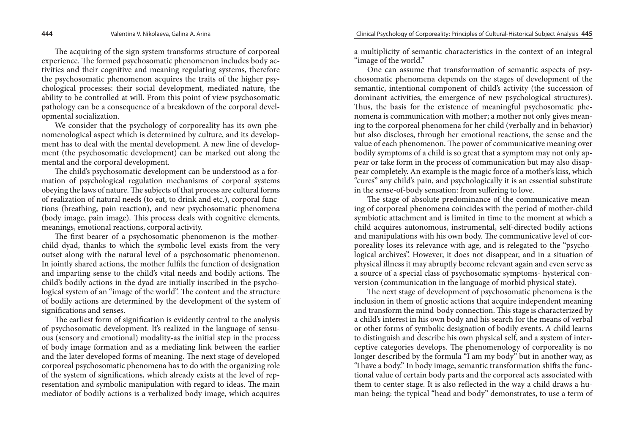The acquiring of the sign system transforms structure of corporeal experience. The formed psychosomatic phenomenon includes body activities and their cognitive and meaning regulating systems, therefore the psychosomatic phenomenon acquires the traits of the higher psychological processes: their social development, mediated nature, the ability to be controlled at will. From this point of view psychosomatic pathology can be a consequence of a breakdown of the corporal developmental socialization.

We consider that the psychology of corporeality has its own phenomenological aspect which is determined by culture, and its development has to deal with the mental development. A new line of development (the psychosomatic development) can be marked out along the mental and the corporal development.

The child's psychosomatic development can be understood as a formation of psychological regulation mechanisms of corporal systems obeying the laws of nature. The subjects of that process are cultural forms of realization of natural needs (to eat, to drink and etc.), corporal functions (breathing, pain reaction), and new psychosomatic phenomena (body image, pain image). This process deals with cognitive elements, meanings, emotional reactions, corporal activity.

The first bearer of a psychosomatic phenomenon is the motherchild dyad, thanks to which the symbolic level exists from the very outset along with the natural level of a psychosomatic phenomenon. In jointly shared actions, the mother fulfils the function of designation and imparting sense to the child's vital needs and bodily actions. The child's bodily actions in the dyad are initially inscribed in the psychological system of an "image of the world". The content and the structure of bodily actions are determined by the development of the system of significations and senses.

The earliest form of signification is evidently central to the analysis of psychosomatic development. It's realized in the language of sensuous (sensory and emotional) modality-as the initial step in the process of body image formation and as a mediating link between the earlier and the later developed forms of meaning. The next stage of developed corporeal psychosomatic phenomena has to do with the organizing role of the system of significations, which already exists at the level of representation and symbolic manipulation with regard to ideas. The main mediator of bodily actions is a verbalized body image, which acquires a multiplicity of semantic characteristics in the context of an integral "image of the world."

One can assume that transformation of semantic aspects of psychosomatic phenomena depends on the stages of development of the semantic, intentional component of child's activity (the succession of dominant activities, the emergence of new psychological structures). Thus, the basis for the existence of meaningful psychosomatic phenomena is communication with mother; a mother not only gives meaning to the corporeal phenomena for her child (verbally and in behavior) but also discloses, through her emotional reactions, the sense and the value of each phenomenon. The power of communicative meaning over bodily symptoms of a child is so great that a symptom may not only appear or take form in the process of communication but may also disappear completely. An example is the magic force of a mother's kiss, which "cures" any child's pain, and psychologically it is an essential substitute in the sense-of-body sensation: from suffering to love.

The stage of absolute predominance of the communicative meaning of corporeal phenomena coincides with the period of mother-child symbiotic attachment and is limited in time to the moment at which a child acquires autonomous, instrumental, self-directed bodily actions and manipulations with his own body. The communicative level of corporeality loses its relevance with age, and is relegated to the "psychological archives". However, it does not disappear, and in a situation of physical illness it may abruptly become relevant again and even serve as a source of a special class of psychosomatic symptoms- hysterical conversion (communication in the language of morbid physical state).

The next stage of development of psychosomatic phenomena is the inclusion in them of gnostic actions that acquire independent meaning and transform the mind-body connection. This stage is characterized by a child's interest in his own body and his search for the means of verbal or other forms of symbolic designation of bodily events. A child learns to distinguish and describe his own physical self, and a system of interceptive categories develops. The phenomenology of corporeality is no longer described by the formula "I am my body" but in another way, as "I have a body." In body image, semantic transformation shifts the functional value of certain body parts and the corporeal acts associated with them to center stage. It is also reflected in the way a child draws a human being: the typical "head and body" demonstrates, to use a term of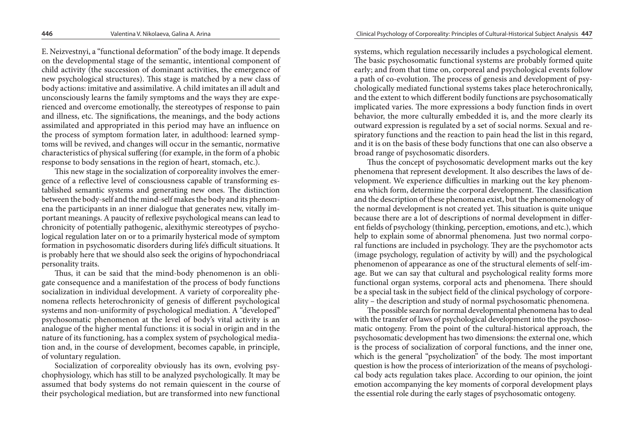E. Neizvestnyi, a "functional deformation" of the body image. It depends on the developmental stage of the semantic, intentional component of child activity (the succession of dominant activities, the emergence of new psychological structures). This stage is matched by a new class of body actions: imitative and assimilative. A child imitates an ill adult and unconsciously learns the family symptoms and the ways they are experienced and overcome emotionally, the stereotypes of response to pain and illness, etc. The significations, the meanings, and the body actions assimilated and appropriated in this period may have an influence on the process of symptom formation later, in adulthood: learned symptoms will be revived, and changes will occur in the semantic, normative characteristics of physical suffering (for example, in the form of a phobic response to body sensations in the region of heart, stomach, etc.).

This new stage in the socialization of corporeality involves the emergence of a reflective level of consciousness capable of transforming established semantic systems and generating new ones. The distinction between the body-self and the mind-self makes the body and its phenomena the participants in an inner dialogue that generates new, vitally important meanings. A paucity of reflexive psychological means can lead to chronicity of potentially pathogenic, alexithymic stereotypes of psychological regulation later on or to a primarily hysterical mode of symptom formation in psychosomatic disorders during life's difficult situations. It is probably here that we should also seek the origins of hypochondriacal personality traits.

Thus, it can be said that the mind-body phenomenon is an obligate consequence and a manifestation of the process of body functions socialization in individual development. A variety of corporeality phenomena reflects heterochronicity of genesis of different psychological systems and non-uniformity of psychological mediation. A "developed" psychosomatic phenomenon at the level of body's vital activity is an analogue of the higher mental functions: it is social in origin and in the nature of its functioning, has a complex system of psychological mediation and, in the course of development, becomes capable, in principle, of voluntary regulation.

Socialization of corporeality obviously has its own, evolving psychophysiology, which has still to be analyzed psychologically. It may be assumed that body systems do not remain quiescent in the course of their psychological mediation, but are transformed into new functional

systems, which regulation necessarily includes a psychological element. The basic psychosomatic functional systems are probably formed quite early; and from that time on, corporeal and psychological events follow a path of co-evolution. The process of genesis and development of psychologically mediated functional systems takes place heterochronically, and the extent to which different bodily functions are psychosomatically implicated varies. The more expressions a body function finds in overt behavior, the more culturally embedded it is, and the more clearly its outward expression is regulated by a set of social norms. Sexual and respiratory functions and the reaction to pain head the list in this regard, and it is on the basis of these body functions that one can also observe a broad range of psychosomatic disorders.

Thus the concept of psychosomatic development marks out the key phenomena that represent development. It also describes the laws of development. We experience difficulties in marking out the key phenomena which form, determine the corporal development. The classification and the description of these phenomena exist, but the phenomenology of the normal development is not created yet. This situation is quite unique because there are a lot of descriptions of normal development in different fields of psychology (thinking, perception, emotions, and etc.), which help to explain some of abnormal phenomena. Just two normal corporal functions are included in psychology. They are the psychomotor acts (image psychology, regulation of activity by will) and the psychological phenomenon of appearance as one of the structural elements of self-image. But we can say that cultural and psychological reality forms more functional organ systems, corporal acts and phenomena. There should be a special task in the subject field of the clinical psychology of corporeality – the description and study of normal psychosomatic phenomena.

The possible search for normal developmental phenomena has to deal with the transfer of laws of psychological development into the psychosomatic ontogeny. From the point of the cultural-historical approach, the psychosomatic development has two dimensions: the external one, which is the process of socialization of corporal functions, and the inner one, which is the general "psycholization" of the body. The most important question is how the process of interiorization of the means of psychological body acts regulation takes place. According to our opinion, the joint emotion accompanying the key moments of corporal development plays the essential role during the early stages of psychosomatic ontogeny.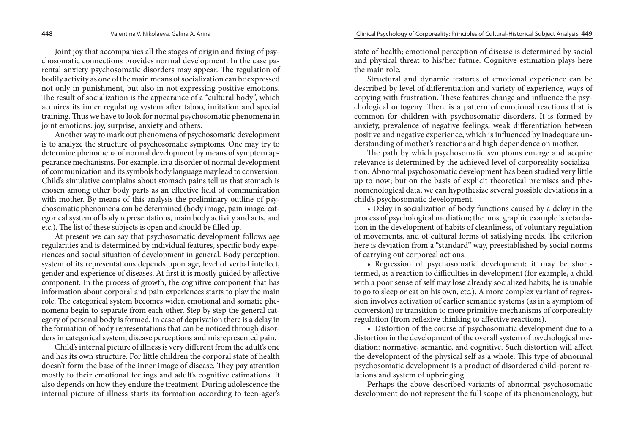Joint joy that accompanies all the stages of origin and fixing of psychosomatic connections provides normal development. In the case parental anxiety psychosomatic disorders may appear. The regulation of bodily activity as one of the main means of socialization can be expressed not only in punishment, but also in not expressing positive emotions. The result of socialization is the appearance of a "cultural body", which acquires its inner regulating system after taboo, imitation and special training. Thus we have to look for normal psychosomatic phenomena in joint emotions: joy, surprise, anxiety and others.

Another way to mark out phenomena of psychosomatic development is to analyze the structure of psychosomatic symptoms. One may try to determine phenomena of normal development by means of symptom appearance mechanisms. For example, in a disorder of normal development of communication and its symbols body language may lead to conversion. Child's simulative complains about stomach pains tell us that stomach is chosen among other body parts as an effective field of communication with mother. By means of this analysis the preliminary outline of psychosomatic phenomena can be determined (body image, pain image, categorical system of body representations, main body activity and acts, and etc.). The list of these subjects is open and should be filled up.

At present we can say that psychosomatic development follows age regularities and is determined by individual features, specific body experiences and social situation of development in general. Body perception, system of its representations depends upon age, level of verbal intellect, gender and experience of diseases. At first it is mostly guided by affective component. In the process of growth, the cognitive component that has information about corporal and pain experiences starts to play the main role. The categorical system becomes wider, emotional and somatic phenomena begin to separate from each other. Step by step the general category of personal body is formed. In case of deprivation there is a delay in the formation of body representations that can be noticed through disorders in categorical system, disease perceptions and misrepresented pain.

Child's internal picture of illness is very different from the adult's one and has its own structure. For little children the corporal state of health doesn't form the base of the inner image of disease. They pay attention mostly to their emotional feelings and adult's cognitive estimations. It also depends on how they endure the treatment. During adolescence the internal picture of illness starts its formation according to teen-ager's state of health; emotional perception of disease is determined by social and physical threat to his/her future. Cognitive estimation plays here the main role.

Structural and dynamic features of emotional experience can be described by level of differentiation and variety of experience, ways of copying with frustration. These features change and influence the psychological ontogeny. There is a pattern of emotional reactions that is common for children with psychosomatic disorders. It is formed by anxiety, prevalence of negative feelings, weak differentiation between positive and negative experience, which is influenced by inadequate understanding of mother's reactions and high dependence on mother.

The path by which psychosomatic symptoms emerge and acquire relevance is determined by the achieved level of corporeality socialization. Abnormal psychosomatic development has been studied very little up to now; but on the basis of explicit theoretical premises and phenomenological data, we can hypothesize several possible deviations in a child's psychosomatic development.

• Delay in socialization of body functions caused by a delay in the process of psychological mediation; the most graphic example is retardation in the development of habits of cleanliness, of voluntary regulation of movements, and of cultural forms of satisfying needs. The criterion here is deviation from a "standard" way, preestablished by social norms of carrying out corporeal actions.

• Regression of psychosomatic development; it may be shorttermed, as a reaction to difficulties in development (for example, a child with a poor sense of self may lose already socialized habits; he is unable to go to sleep or eat on his own, etc.). A more complex variant of regression involves activation of earlier semantic systems (as in a symptom of conversion) or transition to more primitive mechanisms of corporeality regulation (from reflexive thinking to affective reactions).

• Distortion of the course of psychosomatic development due to a distortion in the development of the overall system of psychological mediation: normative, semantic, and cognitive. Such distortion will affect the development of the physical self as a whole. This type of abnormal psychosomatic development is a product of disordered child-parent relations and system of upbringing.

Perhaps the above-described variants of abnormal psychosomatic development do not represent the full scope of its phenomenology, but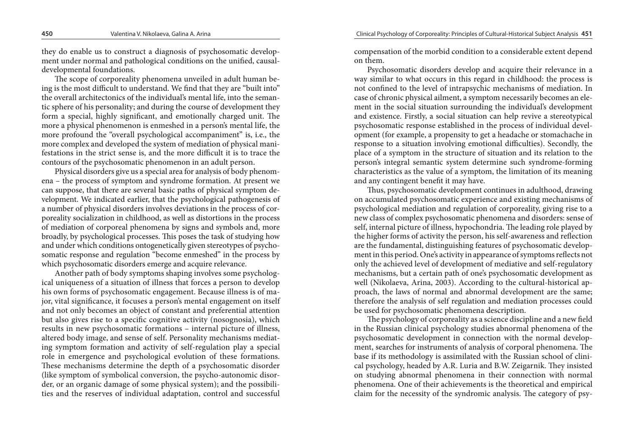they do enable us to construct a diagnosis of psychosomatic development under normal and pathological conditions on the unified, causaldevelopmental foundations.

The scope of corporeality phenomena unveiled in adult human being is the most difficult to understand. We find that they are "built into" the overall architectonics of the individual's mental life, into the semantic sphere of his personality; and during the course of development they form a special, highly significant, and emotionally charged unit. The more a physical phenomenon is enmeshed in a person's mental life, the more profound the "overall psychological accompaniment" is, i.e., the more complex and developed the system of mediation of physical manifestations in the strict sense is, and the more difficult it is to trace the contours of the psychosomatic phenomenon in an adult person.

Physical disorders give us a special area for analysis of body phenomena – the process of symptom and syndrome formation. At present we can suppose, that there are several basic paths of physical symptom development. We indicated earlier, that the psychological pathogenesis of a number of physical disorders involves deviations in the process of corporeality socialization in childhood, as well as distortions in the process of mediation of corporeal phenomena by signs and symbols and, more broadly, by psychological processes. This poses the task of studying how and under which conditions ontogenetically given stereotypes of psychosomatic response and regulation "become enmeshed" in the process by which psychosomatic disorders emerge and acquire relevance.

Another path of body symptoms shaping involves some psychological uniqueness of a situation of illness that forces a person to develop his own forms of psychosomatic engagement. Because illness is of major, vital significance, it focuses a person's mental engagement on itself and not only becomes an object of constant and preferential attention but also gives rise to a specific cognitive activity (nosognosia), which results in new psychosomatic formations – internal picture of illness, altered body image, and sense of self. Personality mechanisms mediating symptom formation and activity of self-regulation play a special role in emergence and psychological evolution of these formations. These mechanisms determine the depth of a psychosomatic disorder (like symptom of symbolical conversion, the psycho-autonomic disorder, or an organic damage of some physical system); and the possibilities and the reserves of individual adaptation, control and successful

compensation of the morbid condition to a considerable extent depend on them.

Psychosomatic disorders develop and acquire their relevance in a way similar to what occurs in this regard in childhood: the process is not confined to the level of intrapsychic mechanisms of mediation. In case of chronic physical ailment, a symptom necessarily becomes an element in the social situation surrounding the individual's development and existence. Firstly, a social situation can help revive a stereotypical psychosomatic response established in the process of individual development (for example, a propensity to get a headache or stomachache in response to a situation involving emotional difficulties). Secondly, the place of a symptom in the structure of situation and its relation to the person's integral semantic system determine such syndrome-forming characteristics as the value of a symptom, the limitation of its meaning and any contingent benefit it may have.

Thus, psychosomatic development continues in adulthood, drawing on accumulated psychosomatic experience and existing mechanisms of psychological mediation and regulation of corporeality, giving rise to a new class of complex psychosomatic phenomena and disorders: sense of self, internal picture of illness, hypochondria. The leading role played by the higher forms of activity the person, his self-awareness and reflection are the fundamental, distinguishing features of psychosomatic development in this period. One's activity in appearance of symptoms reflects not only the achieved level of development of mediative and self-regulatory mechanisms, but a certain path of one's psychosomatic development as well (Nikolaeva, Arina, 2003). According to the cultural-historical approach, the laws of normal and abnormal development are the same; therefore the analysis of self regulation and mediation processes could be used for psychosomatic phenomena description.

The psychology of corporeality as a science discipline and a new field in the Russian clinical psychology studies abnormal phenomena of the psychosomatic development in connection with the normal development, searches for instruments of analysis of corporal phenomena. The base if its methodology is assimilated with the Russian school of clinical psychology, headed by A.R. Luria and B.W. Zeigarnik. They insisted on studying abnormal phenomena in their connection with normal phenomena. One of their achievements is the theoretical and empirical claim for the necessity of the syndromic analysis. The category of psy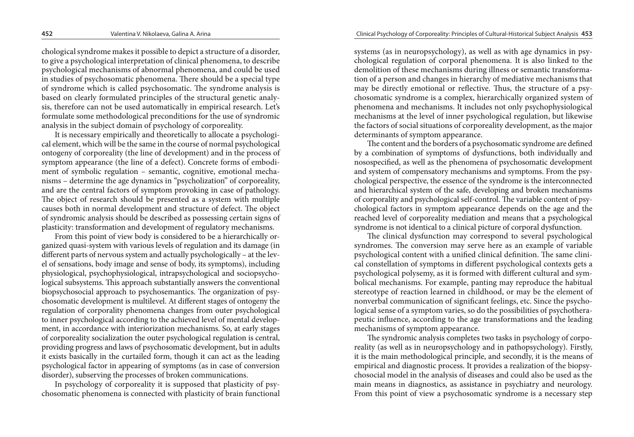chological syndrome makes it possible to depict a structure of a disorder, to give a psychological interpretation of clinical phenomena, to describe psychological mechanisms of abnormal phenomena, and could be used in studies of psychosomatic phenomena. There should be a special type of syndrome which is called psychosomatic. The syndrome analysis is based on clearly formulated principles of the structural genetic analysis, therefore can not be used automatically in empirical research. Let's formulate some methodological preconditions for the use of syndromic analysis in the subject domain of psychology of corporeality.

It is necessary empirically and theoretically to allocate a psychological element, which will be the same in the course of normal psychological ontogeny of corporeality (the line of development) and in the process of symptom appearance (the line of a defect). Concrete forms of embodiment of symbolic regulation – semantic, cognitive, emotional mechanisms – determine the age dynamics in "psycholization" of corporeality, and are the central factors of symptom provoking in case of pathology. The object of research should be presented as a system with multiple causes both in normal development and structure of defect. The object of syndromic analysis should be described as possessing certain signs of plasticity: transformation and development of regulatory mechanisms.

From this point of view body is considered to be a hierarchically organized quasi-system with various levels of regulation and its damage (in different parts of nervous system and actually psychologically – at the level of sensations, body image and sense of body, its symptoms), including physiological, psychophysiological, intrapsychological and sociopsychological subsystems. This approach substantially answers the conventional biopsychosocial approach to psychosemantics. The organization of psychosomatic development is multilevel. At different stages of ontogeny the regulation of corporality phenomena changes from outer psychological to inner psychological according to the achieved level of mental development, in accordance with interiorization mechanisms. So, at early stages of corporeality socialization the outer psychological regulation is central, providing progress and laws of psychosomatic development, but in adults it exists basically in the curtailed form, though it can act as the leading psychological factor in appearing of symptoms (as in case of conversion disorder), subserving the processes of broken communications.

In psychology of corporeality it is supposed that plasticity of psychosomatic phenomena is connected with plasticity of brain functional systems (as in neuropsychology), as well as with age dynamics in psychological regulation of corporal phenomena. It is also linked to the demolition of these mechanisms during illness or semantic transformation of a person and changes in hierarchy of mediative mechanisms that may be directly emotional or reflective. Thus, the structure of a psychosomatic syndrome is a complex, hierarchically organized system of phenomena and mechanisms. It includes not only psychophysiological mechanisms at the level of inner psychological regulation, but likewise the factors of social situations of corporeality development, as the major determinants of symptom appearance.

The content and the borders of a psychosomatic syndrome are defined by a combination of symptoms of dysfunctions, both individually and nosospecified, as well as the phenomena of psychosomatic development and system of compensatory mechanisms and symptoms. From the psychological perspective, the essence of the syndrome is the interconnected and hierarchical system of the safe, developing and broken mechanisms of corporality and psychological self-control. The variable content of psychological factors in symptom appearance depends on the age and the reached level of corporeality mediation and means that a psychological syndrome is not identical to a clinical picture of corporal dysfunction.

The clinical dysfunction may correspond to several psychological syndromes. The conversion may serve here as an example of variable psychological content with a unified clinical definition. The same clinical constellation of symptoms in different psychological contexts gets a psychological polysemy, as it is formed with different cultural and symbolical mechanisms. For example, panting may reproduce the habitual stereotype of reaction learned in childhood, or may be the element of nonverbal communication of significant feelings, etc. Since the psychological sense of a symptom varies, so do the possibilities of psychotherapeutic influence, according to the age transformations and the leading mechanisms of symptom appearance.

The syndromic analysis completes two tasks in psychology of corporeality (as well as in neuropsychology and in pathopsychology). Firstly, it is the main methodological principle, and secondly, it is the means of empirical and diagnostic process. It provides a realization of the biopsychosocial model in the analysis of diseases and could also be used as the main means in diagnostics, as assistance in psychiatry and neurology. From this point of view a psychosomatic syndrome is a necessary step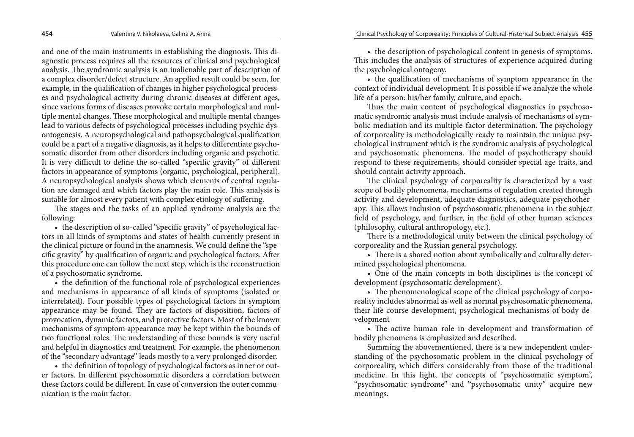and one of the main instruments in establishing the diagnosis. This diagnostic process requires all the resources of clinical and psychological analysis. The syndromic analysis is an inalienable part of description of a complex disorder/defect structure. An applied result could be seen, for example, in the qualification of changes in higher psychological processes and psychological activity during chronic diseases at different ages, since various forms of diseases provoke certain morphological and multiple mental changes. These morphological and multiple mental changes lead to various defects of psychological processes including psychic dysontogenesis. A neuropsychological and pathopsychological qualification could be a part of a negative diagnosis, as it helps to differentiate psychosomatic disorder from other disorders including organic and psychotic. It is very difficult to define the so-called "specific gravity" of different factors in appearance of symptoms (organic, psychological, peripheral). A neuropsychological analysis shows which elements of central regulation are damaged and which factors play the main role. This analysis is suitable for almost every patient with complex etiology of suffering.

The stages and the tasks of an applied syndrome analysis are the following:

• the description of so-called "specific gravity" of psychological factors in all kinds of symptoms and states of health currently present in the clinical picture or found in the anamnesis. We could define the "specific gravity" by qualification of organic and psychological factors. After this procedure one can follow the next step, which is the reconstruction of a psychosomatic syndrome.

• the definition of the functional role of psychological experiences and mechanisms in appearance of all kinds of symptoms (isolated or interrelated). Four possible types of psychological factors in symptom appearance may be found. They are factors of disposition, factors of provocation, dynamic factors, and protective factors. Most of the known mechanisms of symptom appearance may be kept within the bounds of two functional roles. The understanding of these bounds is very useful and helpful in diagnostics and treatment. For example, the phenomenon of the "secondary advantage" leads mostly to a very prolonged disorder.

• the definition of topology of psychological factors as inner or outer factors. In different psychosomatic disorders a correlation between these factors could be different. In case of conversion the outer communication is the main factor.

• the description of psychological content in genesis of symptoms. This includes the analysis of structures of experience acquired during the psychological ontogeny.

• the qualification of mechanisms of symptom appearance in the context of individual development. It is possible if we analyze the whole life of a person: his/her family, culture, and epoch.

Thus the main content of psychological diagnostics in psychosomatic syndromic analysis must include analysis of mechanisms of symbolic mediation and its multiple-factor determination. The psychology of corporeality is methodologically ready to maintain the unique psychological instrument which is the syndromic analysis of psychological and psychosomatic phenomena. The model of psychotherapy should respond to these requirements, should consider special age traits, and should contain activity approach.

The clinical psychology of corporeality is characterized by a vast scope of bodily phenomena, mechanisms of regulation created through activity and development, adequate diagnostics, adequate psychotherapy. This allows inclusion of psychosomatic phenomena in the subject field of psychology, and further, in the field of other human sciences (philosophy, cultural anthropology, etc.).

There is a methodological unity between the clinical psychology of corporeality and the Russian general psychology.

• There is a shared notion about symbolically and culturally determined psychological phenomena.

• One of the main concepts in both disciplines is the concept of development (psychosomatic development).

• The phenomenological scope of the clinical psychology of corporeality includes abnormal as well as normal psychosomatic phenomena, their life-course development, psychological mechanisms of body development

• The active human role in development and transformation of bodily phenomena is emphasized and described.

Summing the abovementioned, there is a new independent understanding of the psychosomatic problem in the clinical psychology of corporeality, which differs considerably from those of the traditional medicine. In this light, the concepts of "psychosomatic symptom", "psychosomatic syndrome" and "psychosomatic unity" acquire new meanings.